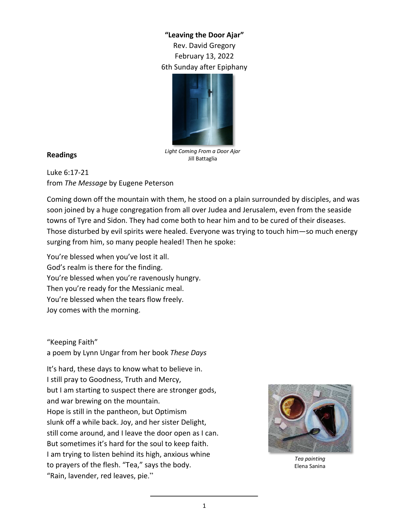## **"Leaving the Door Ajar"** Rev. David Gregory February 13, 2022 6th Sunday after Epiphany



## **Readings**

*Light Coming From a Door Ajar* Jill Battaglia

Luke 6:17-21 from *The Message* by Eugene Peterson

Coming down off the mountain with them, he stood on a plain surrounded by disciples, and was soon joined by a huge congregation from all over Judea and Jerusalem, even from the seaside towns of Tyre and Sidon. They had come both to hear him and to be cured of their diseases. Those disturbed by evil spirits were healed. Everyone was trying to touch him—so much energy surging from him, so many people healed! Then he spoke:

You're blessed when you've lost it all. God's realm is there for the finding. You're blessed when you're ravenously hungry. Then you're ready for the Messianic meal. You're blessed when the tears flow freely. Joy comes with the morning.

## "Keeping Faith"

a poem by Lynn Ungar from her book *These Days*

It's hard, these days to know what to believe in. I still pray to Goodness, Truth and Mercy, but I am starting to suspect there are stronger gods, and war brewing on the mountain. Hope is still in the pantheon, but Optimism slunk off a while back. Joy, and her sister Delight, still come around, and I leave the door open as I can. But sometimes it's hard for the soul to keep faith. I am trying to listen behind its high, anxious whine to prayers of the flesh. "Tea," says the body. "Rain, lavender, red leaves, pie."



*Tea painting* Elena Sanina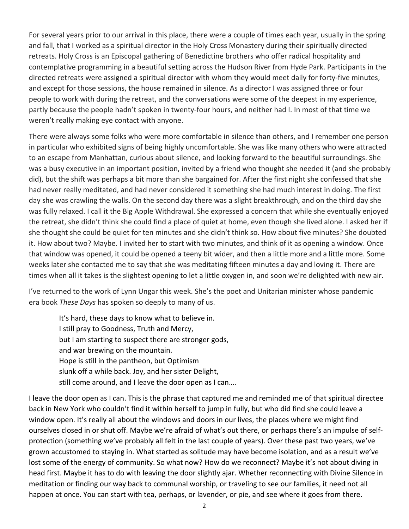For several years prior to our arrival in this place, there were a couple of times each year, usually in the spring and fall, that I worked as a spiritual director in the Holy Cross Monastery during their spiritually directed retreats. Holy Cross is an Episcopal gathering of Benedictine brothers who offer radical hospitality and contemplative programming in a beautiful setting across the Hudson River from Hyde Park. Participants in the directed retreats were assigned a spiritual director with whom they would meet daily for forty-five minutes, and except for those sessions, the house remained in silence. As a director I was assigned three or four people to work with during the retreat, and the conversations were some of the deepest in my experience, partly because the people hadn't spoken in twenty-four hours, and neither had I. In most of that time we weren't really making eye contact with anyone.

There were always some folks who were more comfortable in silence than others, and I remember one person in particular who exhibited signs of being highly uncomfortable. She was like many others who were attracted to an escape from Manhattan, curious about silence, and looking forward to the beautiful surroundings. She was a busy executive in an important position, invited by a friend who thought she needed it (and she probably did), but the shift was perhaps a bit more than she bargained for. After the first night she confessed that she had never really meditated, and had never considered it something she had much interest in doing. The first day she was crawling the walls. On the second day there was a slight breakthrough, and on the third day she was fully relaxed. I call it the Big Apple Withdrawal. She expressed a concern that while she eventually enjoyed the retreat, she didn't think she could find a place of quiet at home, even though she lived alone. I asked her if she thought she could be quiet for ten minutes and she didn't think so. How about five minutes? She doubted it. How about two? Maybe. I invited her to start with two minutes, and think of it as opening a window. Once that window was opened, it could be opened a teeny bit wider, and then a little more and a little more. Some weeks later she contacted me to say that she was meditating fifteen minutes a day and loving it. There are times when all it takes is the slightest opening to let a little oxygen in, and soon we're delighted with new air.

I've returned to the work of Lynn Ungar this week. She's the poet and Unitarian minister whose pandemic era book *These Days* has spoken so deeply to many of us.

It's hard, these days to know what to believe in. I still pray to Goodness, Truth and Mercy, but I am starting to suspect there are stronger gods, and war brewing on the mountain. Hope is still in the pantheon, but Optimism slunk off a while back. Joy, and her sister Delight, still come around, and I leave the door open as I can….

I leave the door open as I can. This is the phrase that captured me and reminded me of that spiritual directee back in New York who couldn't find it within herself to jump in fully, but who did find she could leave a window open. It's really all about the windows and doors in our lives, the places where we might find ourselves closed in or shut off. Maybe we're afraid of what's out there, or perhaps there's an impulse of selfprotection (something we've probably all felt in the last couple of years). Over these past two years, we've grown accustomed to staying in. What started as solitude may have become isolation, and as a result we've lost some of the energy of community. So what now? How do we reconnect? Maybe it's not about diving in head first. Maybe it has to do with leaving the door slightly ajar. Whether reconnecting with Divine Silence in meditation or finding our way back to communal worship, or traveling to see our families, it need not all happen at once. You can start with tea, perhaps, or lavender, or pie, and see where it goes from there.